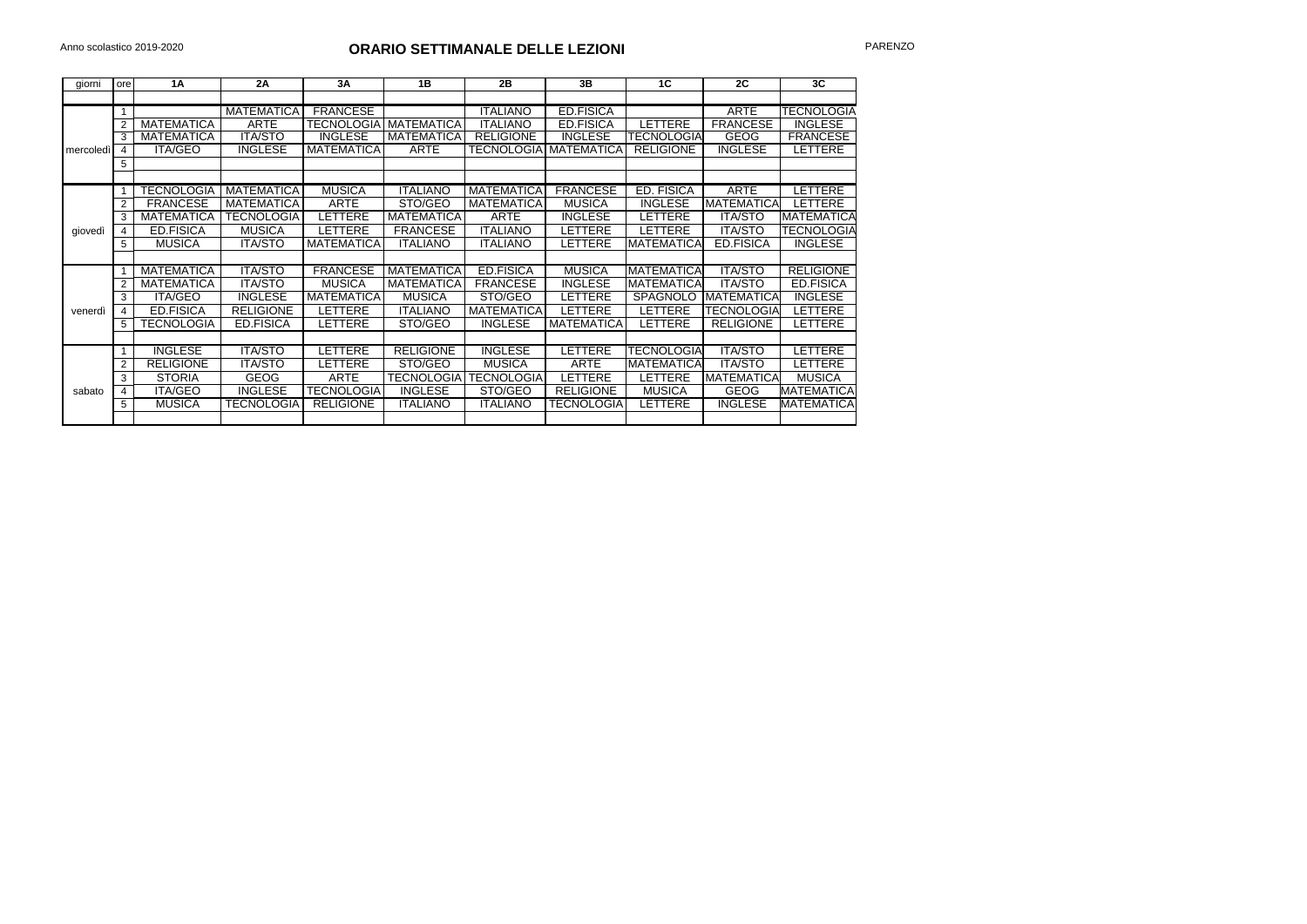| giorni    | ore | 1A                | 2A                | 3A                | 1B                  | 2B                | 3B                | 1 <sup>C</sup>           | 2C                | 3 <sub>C</sub>    |
|-----------|-----|-------------------|-------------------|-------------------|---------------------|-------------------|-------------------|--------------------------|-------------------|-------------------|
|           |     |                   |                   |                   |                     |                   |                   |                          |                   |                   |
|           |     |                   | <b>MATEMATICA</b> | <b>FRANCESE</b>   |                     | <b>ITALIANO</b>   | <b>ED.FISICA</b>  |                          | <b>ARTE</b>       | <b>TECNOLOGIA</b> |
|           |     | <b>MATEMATICA</b> | <b>ARTE</b>       | <b>TECNOLOGIA</b> | <b>MATEMATICA</b>   | <b>ITALIANO</b>   | <b>ED.FISICA</b>  | LETTERE                  | <b>FRANCESE</b>   | <b>INGLESE</b>    |
| mercoledì | 3   | <b>MATEMATICA</b> | <b>ITA/STO</b>    | <b>INGLESE</b>    | <b>MATEMATICA</b>   | <b>RELIGIONE</b>  | <b>INGLESE</b>    | <b><i>FECNOLOGIA</i></b> | GEOG              | <b>FRANCESE</b>   |
|           |     | <b>ITA/GEO</b>    | <b>INGLESE</b>    | <b>MATEMATICA</b> | <b>ARTE</b>         | <b>TECNOLOGIA</b> | <b>MATEMATICA</b> | <b>RELIGIONE</b>         | <b>INGLESE</b>    | LETTERE           |
|           | 5   |                   |                   |                   |                     |                   |                   |                          |                   |                   |
|           |     |                   |                   |                   |                     |                   |                   |                          |                   |                   |
|           |     | <b>TECNOLOGIA</b> | <b>MATEMATICA</b> | <b>MUSICA</b>     | <b>ITALIANO</b>     | <b>MATEMATICA</b> | <b>FRANCESE</b>   | ED. FISICA               | <b>ARTE</b>       | LETTERE           |
|           |     | <b>FRANCESE</b>   | <b>MATEMATICA</b> | <b>ARTE</b>       | STO/GEO             | <b>MATEMATICA</b> | <b>MUSICA</b>     | <b>INGLESE</b>           | <b>MATEMATICA</b> | <b>LETTERE</b>    |
|           | 3   | <b>MATEMATICA</b> | <b>TECNOLOGIA</b> | LETTERE           | <b>MATEMATICA</b>   | <b>ARTE</b>       | <b>INGLESE</b>    | LETTERE                  | <b>ITA/STO</b>    | <b>MATEMATICA</b> |
| giovedì   |     | <b>ED.FISICA</b>  | <b>MUSICA</b>     | LETTERE           | <b>FRANCESE</b>     | <b>ITALIANO</b>   | <b>LETTERE</b>    | <b>ETTERE</b>            | <b>ITA/STO</b>    | <b>TECNOLOGIA</b> |
|           | 5   | <b>MUSICA</b>     | <b>ITA/STO</b>    | <b>MATEMATICA</b> | <b>ITALIANO</b>     | <b>ITALIANO</b>   | <b>LETTERE</b>    | <b>MATEMATICA</b>        | <b>ED.FISICA</b>  | <b>INGLESE</b>    |
|           |     |                   |                   |                   |                     |                   |                   |                          |                   |                   |
|           |     | <b>MATEMATICA</b> | <b>ITA/STO</b>    | <b>FRANCESE</b>   | <b>MATEMATICA</b>   | <b>ED.FISICA</b>  | <b>MUSICA</b>     | <b>MATEMATICA</b>        | <b>ITA/STO</b>    | <b>RELIGIONE</b>  |
|           |     | <b>MATEMATICA</b> | <b>ITA/STO</b>    | <b>MUSICA</b>     | <b>MATEMATICA</b>   | <b>FRANCESE</b>   | <b>INGLESE</b>    | <b>MATEMATICA</b>        | <b>ITA/STO</b>    | <b>ED.FISICA</b>  |
|           | 3   | <b>ITA/GEO</b>    | <b>INGLESE</b>    | <b>MATEMATICA</b> | <b>MUSICA</b>       | STO/GEO           | <b>LETTERE</b>    | <b>SPAGNOLO</b>          | <b>MATEMATICA</b> | <b>INGLESE</b>    |
| venerdì   | 4   | <b>ED.FISICA</b>  | <b>RELIGIONE</b>  | LETTERE           | <b>ITALIANO</b>     | <b>MATEMATICA</b> | <b>LETTERE</b>    | LETTERE                  | <b>TECNOLOGIA</b> | LETTERE           |
|           | 5   | TECNOLOGIA        | <b>ED.FISICA</b>  | LETTERE           | STO/GEO             | <b>INGLESE</b>    | <b>MATEMATICA</b> | LETTERE                  | <b>RELIGIONE</b>  | LETTERE           |
|           |     |                   |                   |                   |                     |                   |                   |                          |                   |                   |
|           |     | <b>INGLESE</b>    | <b>ITA/STO</b>    | LETTERE           | <b>RELIGIONE</b>    | <b>INGLESE</b>    | <b>LETTERE</b>    | TECNOLOGIAI              | <b>ITA/STO</b>    | LETTERE           |
| sabato    | 2   | <b>RELIGIONE</b>  | <b>ITA/STO</b>    | <b>LETTERE</b>    | STO/GEO             | <b>MUSICA</b>     | <b>ARTE</b>       | <b>MATEMATICA</b>        | <b>ITA/STO</b>    | LETTERE           |
|           | 3   | <b>STORIA</b>     | <b>GEOG</b>       | <b>ARTE</b>       | <b>TECNOLOGIA  </b> | <b>TECNOLOGIA</b> | <b>LETTERE</b>    | LETTERE                  | <b>MATEMATICA</b> | <b>MUSICA</b>     |
|           | 4   | <b>ITA/GEO</b>    | <b>INGLESE</b>    | <b>TECNOLOGIA</b> | <b>INGLESE</b>      | STO/GEO           | <b>RELIGIONE</b>  | <b>MUSICA</b>            | <b>GEOG</b>       | MATEMATICA        |
|           | 5   | <b>MUSICA</b>     | <b>TECNOLOGIA</b> | <b>RELIGIONE</b>  | <b>ITALIANO</b>     | <b>ITALIANO</b>   | <b>TECNOLOGIA</b> | <b>ETTERE</b>            | <b>INGLESE</b>    | MATEMATICA        |
|           |     |                   |                   |                   |                     |                   |                   |                          |                   |                   |